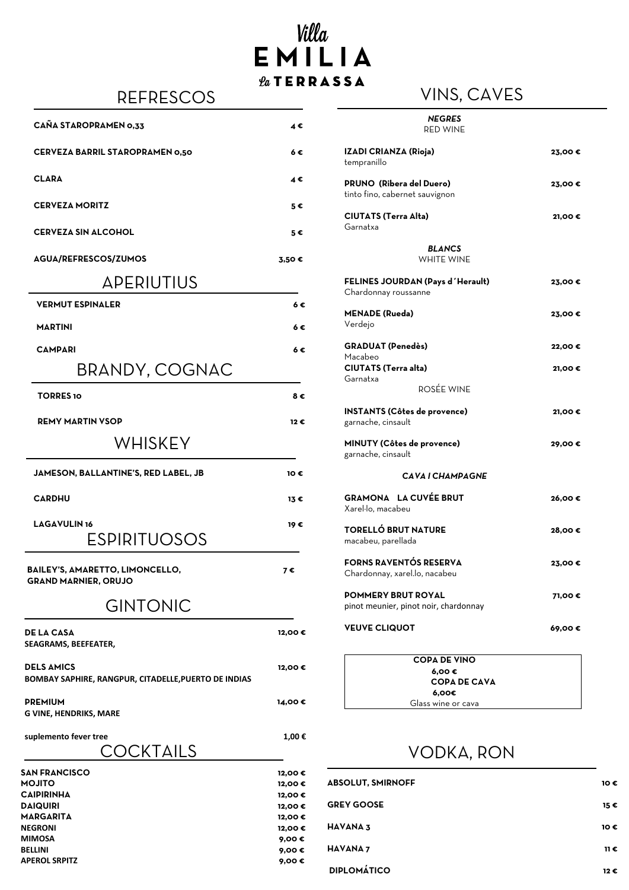#### APERIUTIUS

| <b>VERMUT ESPINALER</b>                      | 6€            |
|----------------------------------------------|---------------|
| <b>MARTINI</b>                               | 6€            |
| <b>CAMPARI</b>                               | $6 \in$       |
| BRANDY, COGNAC                               |               |
| <b>TORRES 10</b>                             | 8€            |
| <b>REMY MARTIN VSOP</b>                      | 12 €          |
| WHISKEY                                      |               |
| <b>JAMESON, BALLANTINE'S, RED LABEL, JB</b>  | 10€           |
| <b>CARDHU</b>                                | $13 \epsilon$ |
| <b>LAGAVULIN16</b><br>$\Gamma$ CNINITI INCNC | 19E           |

# Villa EMILIA  $\ell_a$ TERRASSA VINS, CAVES

| KEFKEJUUJ                              |                      | Y II YU, VM Y LU                                                  |        |
|----------------------------------------|----------------------|-------------------------------------------------------------------|--------|
| <b>CAÑA STAROPRAMEN 0,33</b>           | $4 \epsilon$         | <b>NEGRES</b><br><b>RED WINE</b>                                  |        |
| <b>CERVEZA BARRIL STAROPRAMEN 0,50</b> | $6 \in$              | <b>IZADI CRIANZA (Rioja)</b><br>tempranillo                       | 23,00€ |
| <b>CLARA</b>                           | $4 \in$              | <b>PRUNO (Ribera del Duero)</b><br>tinto fino, cabernet sauvignon | 23,00€ |
| <b>CERVEZA MORITZ</b>                  | $5 \in$              | <b>CIUTATS (Terra Alta)</b>                                       | 21,00€ |
| <b>CERVEZA SIN ALCOHOL</b>             | $5 \in$              | Garnatxa                                                          |        |
| AGUA/REFRESCOS/ZUMOS                   | $3,50$ $\varepsilon$ | <b>BLANCS</b><br>WHITE WINE                                       |        |

**BAILEY'S, AMARETTO, LIMONCELLO, GRAND MARNIER, ORUJO**

**7 €**

### GINTONIC

| FELINES JOURDAN (Pays d'Herault)<br>Chardonnay roussanne  | 23,00€ |
|-----------------------------------------------------------|--------|
| <b>MENADE (Rueda)</b>                                     | 23,00€ |
| Verdejo                                                   |        |
| <b>GRADUAT (Penedès)</b>                                  | 22,00€ |
| Macabeo                                                   |        |
| <b>CIUTATS (Terra alta)</b>                               | 21,00€ |
| Garnatxa                                                  |        |
| ROSÉE WINE                                                |        |
| <b>INSTANTS (Côtes de provence)</b><br>garnache, cinsault | 21,00€ |
| <b>MINUTY (Côtes de provence)</b><br>garnache, cinsault   | 29,00€ |
| CAVA I CHAMPAGNE                                          |        |
| <b>GRAMONA LA CUVÉE BRUT</b><br>Xarel·lo, macabeu         | 26,00€ |
| <b>TORELLÓ BRUT NATURE</b>                                | 28,00€ |

| EJPIKI I UUJUJ |  |  |  |
|----------------|--|--|--|
|----------------|--|--|--|

macabeu, parellada

| FORNS RAVENTÓS RESERVA<br>Chardonnay, xarel.lo, nacabeu            | 23,00€ |
|--------------------------------------------------------------------|--------|
| <b>POMMERY BRUT ROYAL</b><br>pinot meunier, pinot noir, chardonnay | 71,00€ |
| <b>VEUVE CLIQUOT</b>                                               | 69,00€ |
| <b>COPA DE VINO</b>                                                |        |
| $6,00 \in$                                                         |        |
| <b>COPA DE CAVA</b>                                                |        |
|                                                                    |        |
| 6,00€<br>Glass wine or cava                                        |        |

**DE LA CASA 12,00 € SEAGRAMS, BEEFEATER,** 

**DELS AMICS 12,00 € BOMBAY SAPHIRE, RANGPUR, CITADELLE,PUERTO DE INDIAS**

**PREMIUM 14,00 € G VINE, HENDRIKS, MARE**

**suplemento fever tree 1,00 €**

VODKA, RON

| <b>ABSOLUT, SMIRNOFF</b> | 10 € |
|--------------------------|------|
| <b>GREY GOOSE</b>        | 15 € |

**HAVANA 3 10 €**

**HAVANA 7 11 €**

**DIPLOMÁTICO 12 €**

COCKTAILS

| <b>SAN FRANCISCO</b> | 12,00€ |                |
|----------------------|--------|----------------|
| <b>OTILOM</b>        | 12,00€ | <b>ABSOLU</b>  |
| <b>CAIPIRINHA</b>    | 12,00€ |                |
| <b>DAIQUIRI</b>      | 12,00€ | <b>GREY GC</b> |



**NEGRONI 12,00 €**

**MIMOSA 9,00 €**

**BELLINI 9,00 €**

**APEROL SRPITZ 9,00 €**